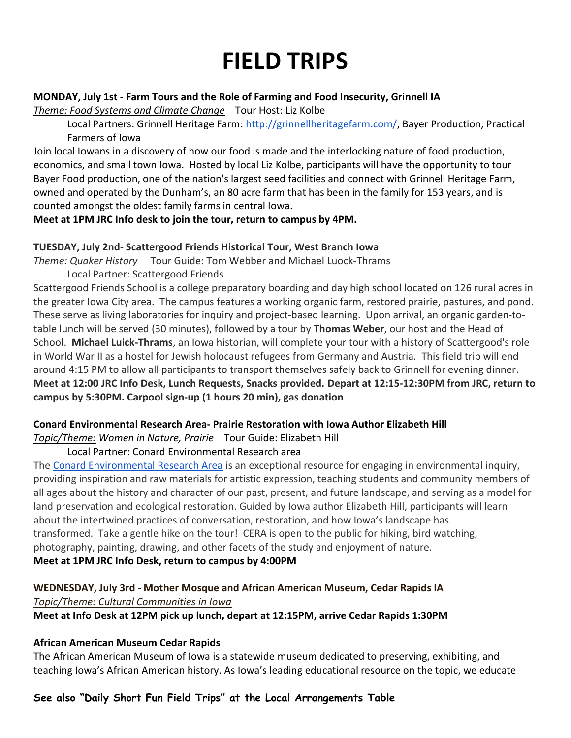# FIELD TRIPS

### MONDAY, July 1st - Farm Tours and the Role of Farming and Food Insecurity, Grinnell IA

Theme: Food Systems and Climate Change Tour Host: Liz Kolbe

Local Partners: Grinnell Heritage Farm: http://grinnellheritagefarm.com/, Bayer Production, Practical Farmers of Iowa

Join local Iowans in a discovery of how our food is made and the interlocking nature of food production, economics, and small town Iowa. Hosted by local Liz Kolbe, participants will have the opportunity to tour Bayer Food production, one of the nation's largest seed facilities and connect with Grinnell Heritage Farm, owned and operated by the Dunham's, an 80 acre farm that has been in the family for 153 years, and is counted amongst the oldest family farms in central Iowa.

# Meet at 1PM JRC Info desk to join the tour, return to campus by 4PM.

# TUESDAY, July 2nd- Scattergood Friends Historical Tour, West Branch Iowa

Theme: Quaker History Tour Guide: Tom Webber and Michael Luock-Thrams

Local Partner: Scattergood Friends

Scattergood Friends School is a college preparatory boarding and day high school located on 126 rural acres in the greater Iowa City area. The campus features a working organic farm, restored prairie, pastures, and pond. These serve as living laboratories for inquiry and project-based learning. Upon arrival, an organic garden-totable lunch will be served (30 minutes), followed by a tour by Thomas Weber, our host and the Head of School. Michael Luick-Thrams, an Iowa historian, will complete your tour with a history of Scattergood's role in World War II as a hostel for Jewish holocaust refugees from Germany and Austria. This field trip will end around 4:15 PM to allow all participants to transport themselves safely back to Grinnell for evening dinner. Meet at 12:00 JRC Info Desk, Lunch Requests, Snacks provided. Depart at 12:15-12:30PM from JRC, return to campus by 5:30PM. Carpool sign-up (1 hours 20 min), gas donation

#### Conard Environmental Research Area- Prairie Restoration with Iowa Author Elizabeth Hill

Topic/Theme: Women in Nature, Prairie Tour Guide: Elizabeth Hill

# Local Partner: Conard Environmental Research area

The Conard Environmental Research Area is an exceptional resource for engaging in environmental inquiry, providing inspiration and raw materials for artistic expression, teaching students and community members of all ages about the history and character of our past, present, and future landscape, and serving as a model for land preservation and ecological restoration. Guided by Iowa author Elizabeth Hill, participants will learn about the intertwined practices of conversation, restoration, and how Iowa's landscape has transformed. Take a gentle hike on the tour! CERA is open to the public for hiking, bird watching, photography, painting, drawing, and other facets of the study and enjoyment of nature. Meet at 1PM JRC Info Desk, return to campus by 4:00PM

# WEDNESDAY, July 3rd - Mother Mosque and African American Museum, Cedar Rapids IA Topic/Theme: Cultural Communities in Iowa

Meet at Info Desk at 12PM pick up lunch, depart at 12:15PM, arrive Cedar Rapids 1:30PM

# African American Museum Cedar Rapids

The African American Museum of Iowa is a statewide museum dedicated to preserving, exhibiting, and teaching Iowa's African American history. As Iowa's leading educational resource on the topic, we educate

# See also "Daily Short Fun Field Trips" at the Local Arrangements Table